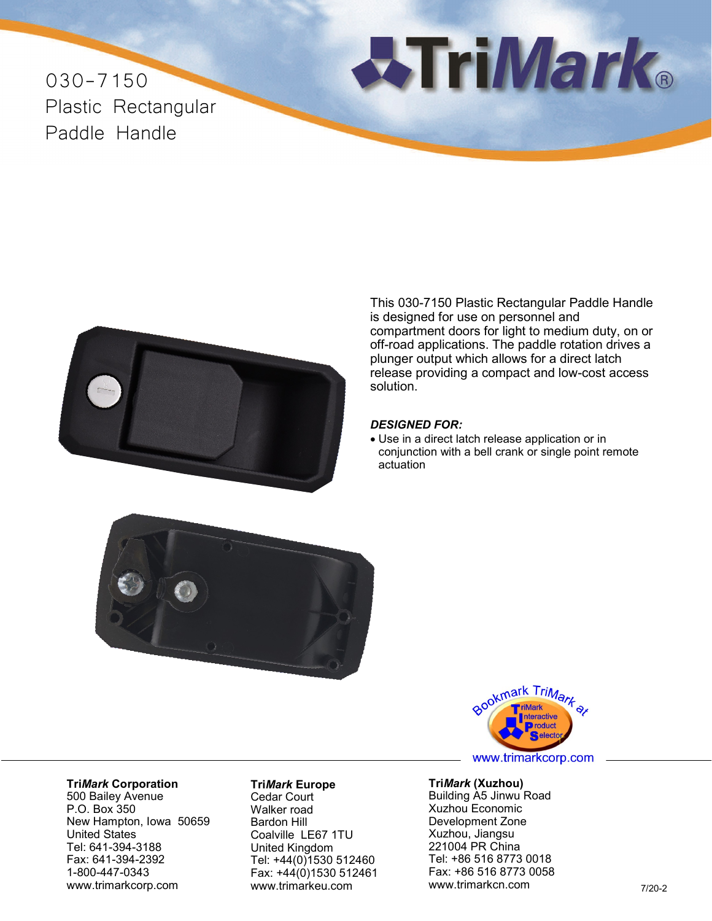030-7150 Plastic Rectangular Paddle Handle





This 030-7150 Plastic Rectangular Paddle Handle is designed for use on personnel and compartment doors for light to medium duty, on or off-road applications. The paddle rotation drives a plunger output which allows for a direct latch release providing a compact and low-cost access solution.

## *DESIGNED FOR:*

• Use in a direct latch release application or in conjunction with a bell crank or single point remote actuation





www.trimarkcorp.com

## **Tri***Mark* **Corporation**

500 Bailey Avenue P.O. Box 350 New Hampton, Iowa 50659 United States Tel: 641-394-3188 Fax: 641-394-2392 1-800-447-0343 www.trimarkcorp.com

## **Tri***Mark* **Europe**

Cedar Court Walker road Bardon Hill Coalville LE67 1TU United Kingdom Tel: +44(0)1530 512460 Fax: +44(0)1530 512461 www.trimarkeu.com

## **Tri***Mark* **(Xuzhou)** Building A5 Jinwu Road

Xuzhou Economic Development Zone Xuzhou, Jiangsu 221004 PR China Tel: +86 516 8773 0018 Fax: +86 516 8773 0058 www.trimarkcn.com